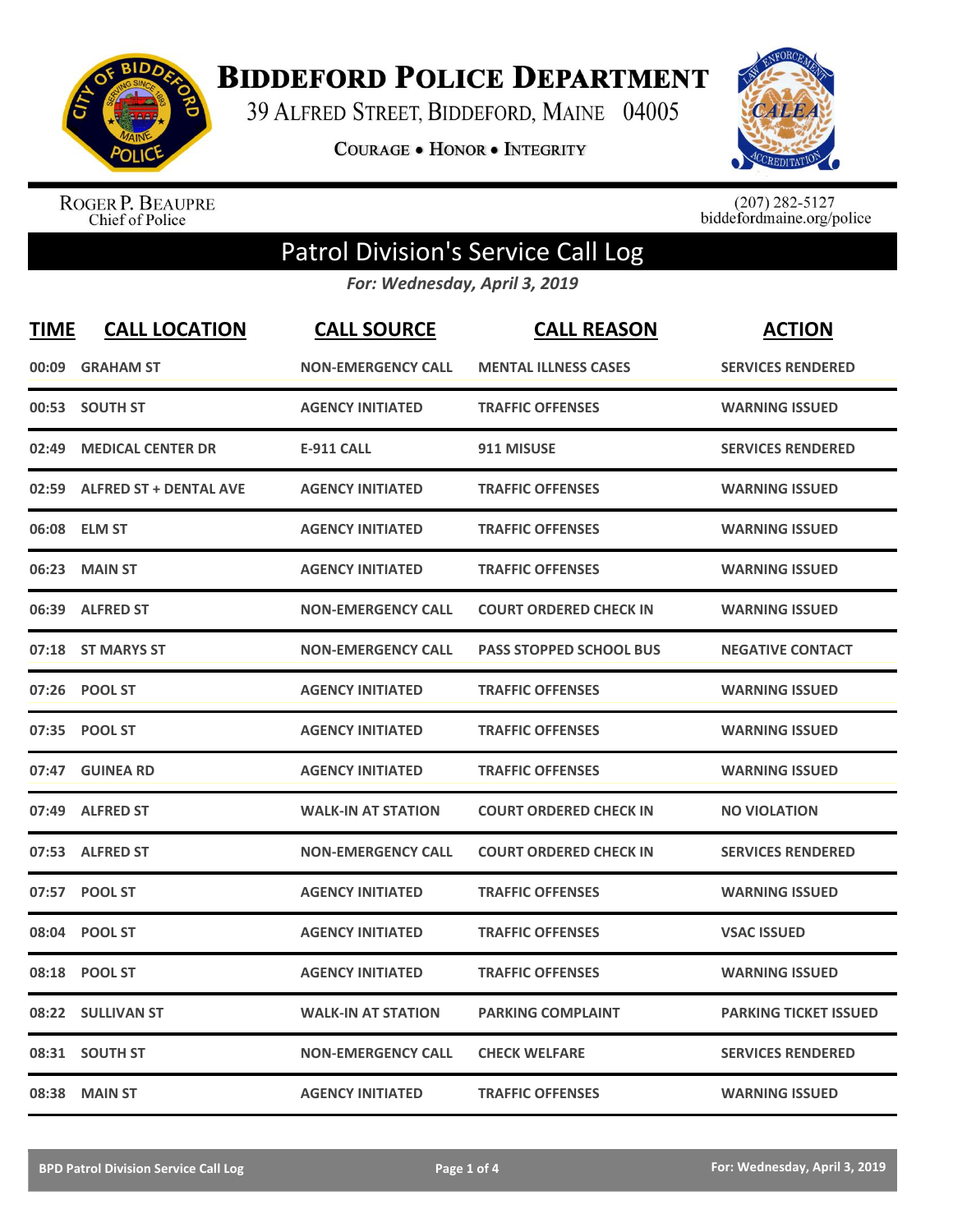

**BIDDEFORD POLICE DEPARTMENT** 

39 ALFRED STREET, BIDDEFORD, MAINE 04005

**COURAGE . HONOR . INTEGRITY** 



ROGER P. BEAUPRE<br>Chief of Police

 $(207)$  282-5127<br>biddefordmaine.org/police

## Patrol Division's Service Call Log

*For: Wednesday, April 3, 2019*

| <b>TIME</b> | <b>CALL LOCATION</b>          | <b>CALL SOURCE</b>        | <b>CALL REASON</b>             | <b>ACTION</b>                |
|-------------|-------------------------------|---------------------------|--------------------------------|------------------------------|
| 00:09       | <b>GRAHAM ST</b>              | <b>NON-EMERGENCY CALL</b> | <b>MENTAL ILLNESS CASES</b>    | <b>SERVICES RENDERED</b>     |
| 00:53       | <b>SOUTH ST</b>               | <b>AGENCY INITIATED</b>   | <b>TRAFFIC OFFENSES</b>        | <b>WARNING ISSUED</b>        |
| 02:49       | <b>MEDICAL CENTER DR</b>      | <b>E-911 CALL</b>         | 911 MISUSE                     | <b>SERVICES RENDERED</b>     |
| 02:59       | <b>ALFRED ST + DENTAL AVE</b> | <b>AGENCY INITIATED</b>   | <b>TRAFFIC OFFENSES</b>        | <b>WARNING ISSUED</b>        |
|             | 06:08 ELM ST                  | <b>AGENCY INITIATED</b>   | <b>TRAFFIC OFFENSES</b>        | <b>WARNING ISSUED</b>        |
| 06:23       | <b>MAIN ST</b>                | <b>AGENCY INITIATED</b>   | <b>TRAFFIC OFFENSES</b>        | <b>WARNING ISSUED</b>        |
| 06:39       | <b>ALFRED ST</b>              | <b>NON-EMERGENCY CALL</b> | <b>COURT ORDERED CHECK IN</b>  | <b>WARNING ISSUED</b>        |
| 07:18       | <b>ST MARYS ST</b>            | <b>NON-EMERGENCY CALL</b> | <b>PASS STOPPED SCHOOL BUS</b> | <b>NEGATIVE CONTACT</b>      |
| 07:26       | <b>POOL ST</b>                | <b>AGENCY INITIATED</b>   | <b>TRAFFIC OFFENSES</b>        | <b>WARNING ISSUED</b>        |
| 07:35       | <b>POOL ST</b>                | <b>AGENCY INITIATED</b>   | <b>TRAFFIC OFFENSES</b>        | <b>WARNING ISSUED</b>        |
|             | 07:47 GUINEA RD               | <b>AGENCY INITIATED</b>   | <b>TRAFFIC OFFENSES</b>        | <b>WARNING ISSUED</b>        |
| 07:49       | <b>ALFRED ST</b>              | <b>WALK-IN AT STATION</b> | <b>COURT ORDERED CHECK IN</b>  | <b>NO VIOLATION</b>          |
| 07:53       | <b>ALFRED ST</b>              | <b>NON-EMERGENCY CALL</b> | <b>COURT ORDERED CHECK IN</b>  | <b>SERVICES RENDERED</b>     |
| 07:57       | <b>POOL ST</b>                | <b>AGENCY INITIATED</b>   | <b>TRAFFIC OFFENSES</b>        | <b>WARNING ISSUED</b>        |
| 08:04       | <b>POOL ST</b>                | <b>AGENCY INITIATED</b>   | <b>TRAFFIC OFFENSES</b>        | <b>VSAC ISSUED</b>           |
| 08:18       | <b>POOL ST</b>                | <b>AGENCY INITIATED</b>   | <b>TRAFFIC OFFENSES</b>        | <b>WARNING ISSUED</b>        |
| 08:22       | <b>SULLIVAN ST</b>            | <b>WALK-IN AT STATION</b> | <b>PARKING COMPLAINT</b>       | <b>PARKING TICKET ISSUED</b> |
| 08:31       | <b>SOUTH ST</b>               | <b>NON-EMERGENCY CALL</b> | <b>CHECK WELFARE</b>           | <b>SERVICES RENDERED</b>     |
|             | 08:38 MAIN ST                 | <b>AGENCY INITIATED</b>   | <b>TRAFFIC OFFENSES</b>        | <b>WARNING ISSUED</b>        |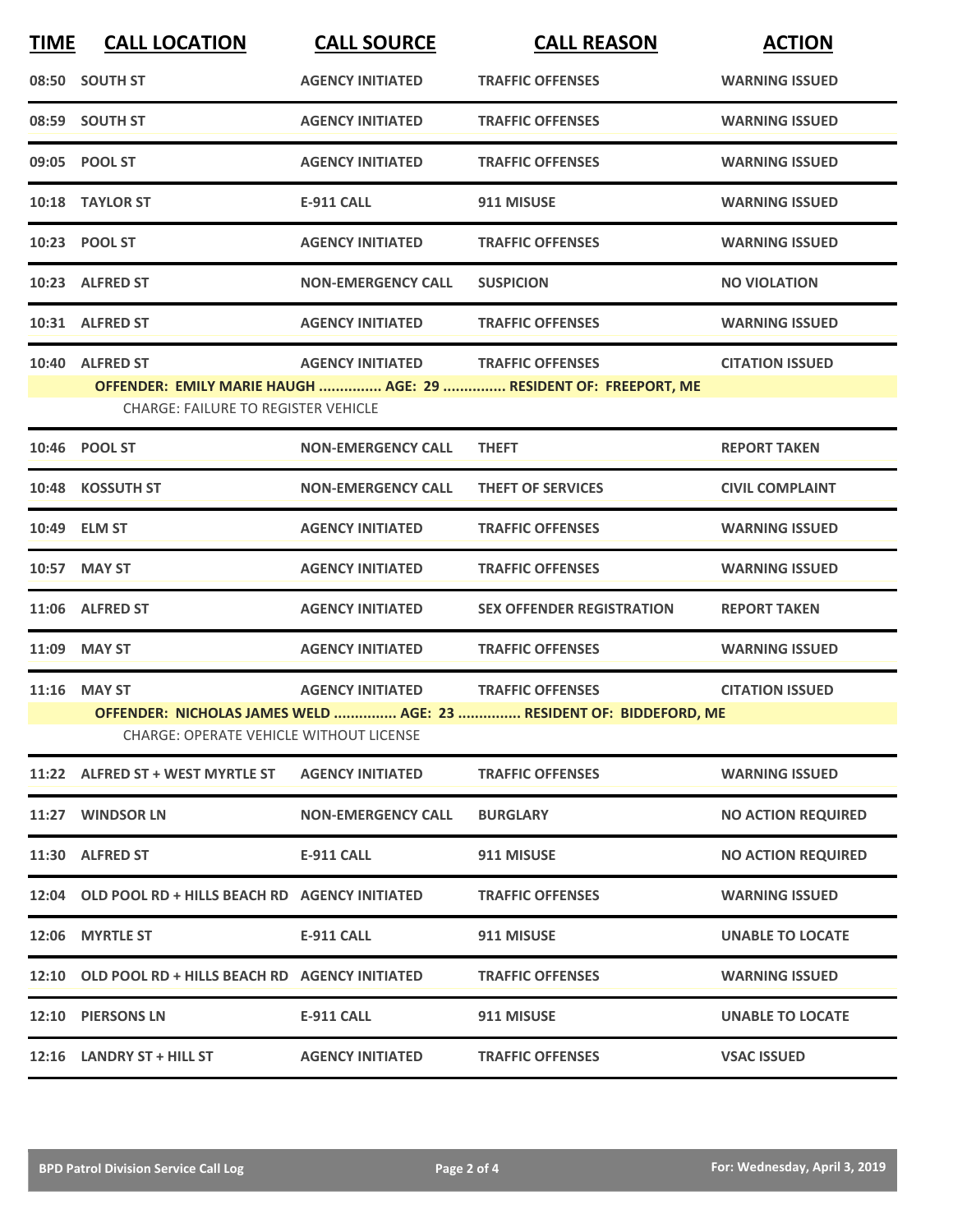| 08:50 SOUTH ST   |                                                                                                                      | <b>AGENCY INITIATED</b>   |                                  |                           |  |  |
|------------------|----------------------------------------------------------------------------------------------------------------------|---------------------------|----------------------------------|---------------------------|--|--|
|                  |                                                                                                                      |                           | <b>TRAFFIC OFFENSES</b>          | <b>WARNING ISSUED</b>     |  |  |
| 08:59 SOUTH ST   |                                                                                                                      | <b>AGENCY INITIATED</b>   | <b>TRAFFIC OFFENSES</b>          | <b>WARNING ISSUED</b>     |  |  |
| 09:05 POOL ST    |                                                                                                                      | <b>AGENCY INITIATED</b>   | <b>TRAFFIC OFFENSES</b>          | <b>WARNING ISSUED</b>     |  |  |
| 10:18 TAYLOR ST  |                                                                                                                      | <b>E-911 CALL</b>         | 911 MISUSE                       | <b>WARNING ISSUED</b>     |  |  |
| 10:23 POOL ST    |                                                                                                                      | <b>AGENCY INITIATED</b>   | <b>TRAFFIC OFFENSES</b>          | <b>WARNING ISSUED</b>     |  |  |
| 10:23 ALFRED ST  |                                                                                                                      | <b>NON-EMERGENCY CALL</b> | <b>SUSPICION</b>                 | <b>NO VIOLATION</b>       |  |  |
| 10:31 ALFRED ST  |                                                                                                                      | <b>AGENCY INITIATED</b>   | <b>TRAFFIC OFFENSES</b>          | <b>WARNING ISSUED</b>     |  |  |
| 10:40 ALFRED ST  |                                                                                                                      | <b>AGENCY INITIATED</b>   | <b>TRAFFIC OFFENSES</b>          | <b>CITATION ISSUED</b>    |  |  |
|                  | OFFENDER: EMILY MARIE HAUGH  AGE: 29  RESIDENT OF: FREEPORT, ME<br><b>CHARGE: FAILURE TO REGISTER VEHICLE</b>        |                           |                                  |                           |  |  |
| 10:46 POOL ST    |                                                                                                                      | <b>NON-EMERGENCY CALL</b> | <b>THEFT</b>                     | <b>REPORT TAKEN</b>       |  |  |
| 10:48 KOSSUTH ST |                                                                                                                      | <b>NON-EMERGENCY CALL</b> | <b>THEFT OF SERVICES</b>         | <b>CIVIL COMPLAINT</b>    |  |  |
| 10:49 ELM ST     |                                                                                                                      | <b>AGENCY INITIATED</b>   | <b>TRAFFIC OFFENSES</b>          | <b>WARNING ISSUED</b>     |  |  |
| 10:57 MAY ST     |                                                                                                                      | <b>AGENCY INITIATED</b>   | <b>TRAFFIC OFFENSES</b>          | <b>WARNING ISSUED</b>     |  |  |
| 11:06 ALFRED ST  |                                                                                                                      | <b>AGENCY INITIATED</b>   | <b>SEX OFFENDER REGISTRATION</b> | <b>REPORT TAKEN</b>       |  |  |
| 11:09 MAY ST     |                                                                                                                      | <b>AGENCY INITIATED</b>   | <b>TRAFFIC OFFENSES</b>          | <b>WARNING ISSUED</b>     |  |  |
| 11:16 MAY ST     |                                                                                                                      | <b>AGENCY INITIATED</b>   | <b>TRAFFIC OFFENSES</b>          | <b>CITATION ISSUED</b>    |  |  |
|                  | OFFENDER: NICHOLAS JAMES WELD  AGE: 23  RESIDENT OF: BIDDEFORD, ME<br><b>CHARGE: OPERATE VEHICLE WITHOUT LICENSE</b> |                           |                                  |                           |  |  |
|                  | 11:22 ALFRED ST + WEST MYRTLE ST                                                                                     | <b>AGENCY INITIATED</b>   | <b>TRAFFIC OFFENSES</b>          | <b>WARNING ISSUED</b>     |  |  |
|                  | 11:27 WINDSOR LN                                                                                                     | <b>NON-EMERGENCY CALL</b> | <b>BURGLARY</b>                  | <b>NO ACTION REQUIRED</b> |  |  |
| 11:30 ALFRED ST  |                                                                                                                      | E-911 CALL                | 911 MISUSE                       | <b>NO ACTION REQUIRED</b> |  |  |
|                  | 12:04 OLD POOL RD + HILLS BEACH RD AGENCY INITIATED                                                                  |                           | <b>TRAFFIC OFFENSES</b>          | <b>WARNING ISSUED</b>     |  |  |
| 12:06 MYRTLE ST  |                                                                                                                      | <b>E-911 CALL</b>         | 911 MISUSE                       | <b>UNABLE TO LOCATE</b>   |  |  |
|                  | 12:10 OLD POOL RD + HILLS BEACH RD AGENCY INITIATED                                                                  |                           | <b>TRAFFIC OFFENSES</b>          | <b>WARNING ISSUED</b>     |  |  |
|                  | 12:10 PIERSONS LN                                                                                                    | <b>E-911 CALL</b>         | 911 MISUSE                       | <b>UNABLE TO LOCATE</b>   |  |  |
|                  | 12:16 LANDRY ST + HILL ST                                                                                            | <b>AGENCY INITIATED</b>   | <b>TRAFFIC OFFENSES</b>          | <b>VSAC ISSUED</b>        |  |  |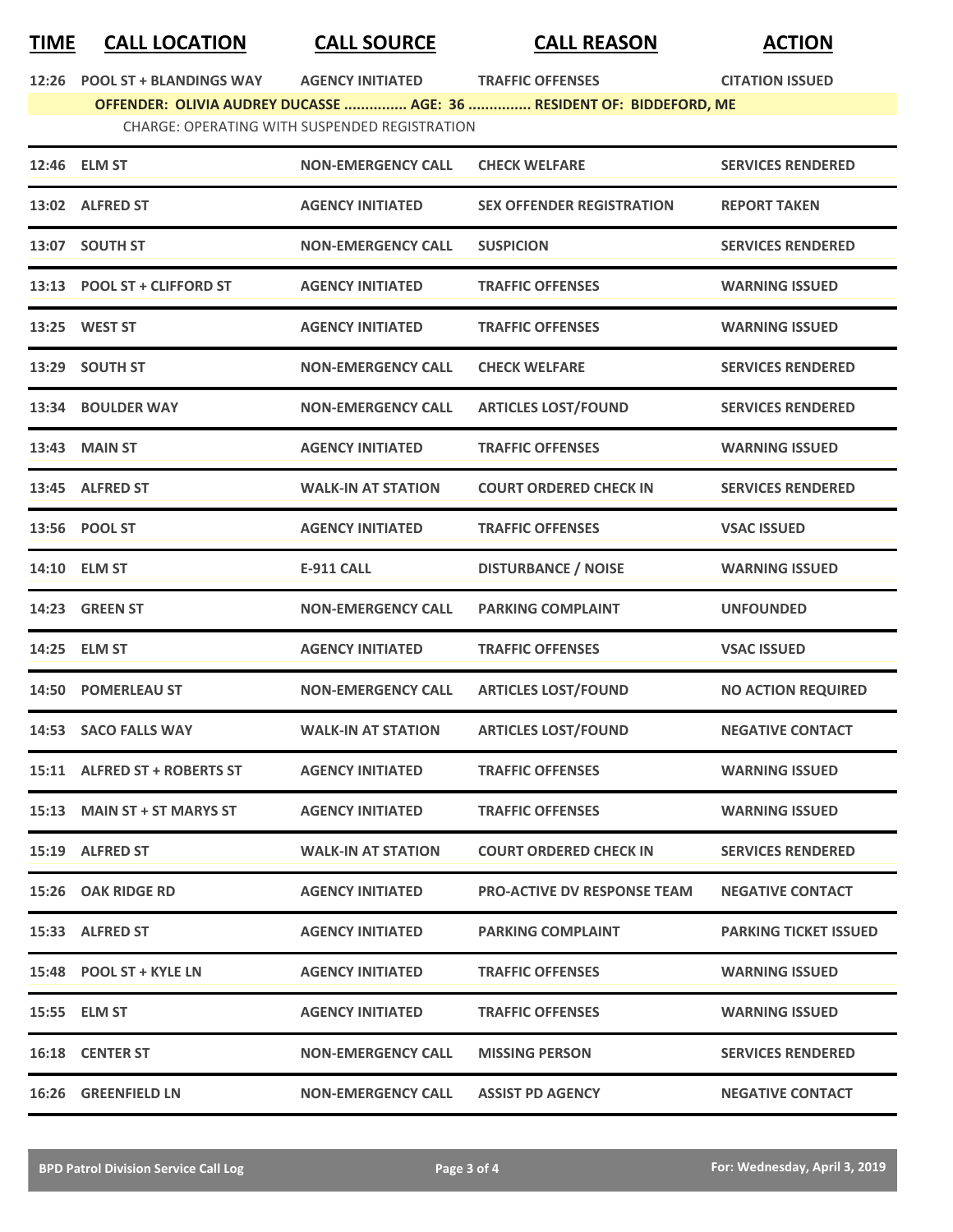## **TIME CALL LOCATION CALL SOURCE CALL REASON ACTION**

**12:26 POOL ST + BLANDINGS WAY AGENCY INITIATED TRAFFIC OFFENSES CITATION ISSUED**

**OFFENDER: OLIVIA AUDREY DUCASSE ............... AGE: 36 ............... RESIDENT OF: BIDDEFORD, ME** CHARGE: OPERATING WITH SUSPENDED REGISTRATION

|       | 12:46 ELM ST                 | <b>NON-EMERGENCY CALL</b> | <b>CHECK WELFARE</b>               | <b>SERVICES RENDERED</b>     |
|-------|------------------------------|---------------------------|------------------------------------|------------------------------|
|       | 13:02 ALFRED ST              | <b>AGENCY INITIATED</b>   | <b>SEX OFFENDER REGISTRATION</b>   | <b>REPORT TAKEN</b>          |
| 13:07 | <b>SOUTH ST</b>              | <b>NON-EMERGENCY CALL</b> | <b>SUSPICION</b>                   | <b>SERVICES RENDERED</b>     |
| 13:13 | <b>POOL ST + CLIFFORD ST</b> | <b>AGENCY INITIATED</b>   | <b>TRAFFIC OFFENSES</b>            | <b>WARNING ISSUED</b>        |
|       | 13:25 WEST ST                | <b>AGENCY INITIATED</b>   | <b>TRAFFIC OFFENSES</b>            | <b>WARNING ISSUED</b>        |
| 13:29 | <b>SOUTH ST</b>              | <b>NON-EMERGENCY CALL</b> | <b>CHECK WELFARE</b>               | <b>SERVICES RENDERED</b>     |
| 13:34 | <b>BOULDER WAY</b>           | <b>NON-EMERGENCY CALL</b> | <b>ARTICLES LOST/FOUND</b>         | <b>SERVICES RENDERED</b>     |
| 13:43 | <b>MAIN ST</b>               | <b>AGENCY INITIATED</b>   | <b>TRAFFIC OFFENSES</b>            | <b>WARNING ISSUED</b>        |
| 13:45 | <b>ALFRED ST</b>             | <b>WALK-IN AT STATION</b> | <b>COURT ORDERED CHECK IN</b>      | <b>SERVICES RENDERED</b>     |
|       | 13:56 POOL ST                | <b>AGENCY INITIATED</b>   | <b>TRAFFIC OFFENSES</b>            | <b>VSAC ISSUED</b>           |
|       | 14:10 ELM ST                 | <b>E-911 CALL</b>         | <b>DISTURBANCE / NOISE</b>         | <b>WARNING ISSUED</b>        |
| 14:23 | <b>GREEN ST</b>              | <b>NON-EMERGENCY CALL</b> | <b>PARKING COMPLAINT</b>           | <b>UNFOUNDED</b>             |
| 14:25 | <b>ELM ST</b>                | <b>AGENCY INITIATED</b>   | <b>TRAFFIC OFFENSES</b>            | <b>VSAC ISSUED</b>           |
| 14:50 | <b>POMERLEAU ST</b>          | <b>NON-EMERGENCY CALL</b> | <b>ARTICLES LOST/FOUND</b>         | <b>NO ACTION REQUIRED</b>    |
| 14:53 | <b>SACO FALLS WAY</b>        | <b>WALK-IN AT STATION</b> | <b>ARTICLES LOST/FOUND</b>         | <b>NEGATIVE CONTACT</b>      |
|       | 15:11 ALFRED ST + ROBERTS ST | <b>AGENCY INITIATED</b>   | <b>TRAFFIC OFFENSES</b>            | <b>WARNING ISSUED</b>        |
| 15:13 | <b>MAIN ST + ST MARYS ST</b> | <b>AGENCY INITIATED</b>   | <b>TRAFFIC OFFENSES</b>            | <b>WARNING ISSUED</b>        |
|       | 15:19 ALFRED ST              | <b>WALK-IN AT STATION</b> | <b>COURT ORDERED CHECK IN</b>      | <b>SERVICES RENDERED</b>     |
|       | 15:26 OAK RIDGE RD           | <b>AGENCY INITIATED</b>   | <b>PRO-ACTIVE DV RESPONSE TEAM</b> | <b>NEGATIVE CONTACT</b>      |
|       | 15:33 ALFRED ST              | <b>AGENCY INITIATED</b>   | <b>PARKING COMPLAINT</b>           | <b>PARKING TICKET ISSUED</b> |
|       | 15:48 POOL ST + KYLE LN      | <b>AGENCY INITIATED</b>   | <b>TRAFFIC OFFENSES</b>            | <b>WARNING ISSUED</b>        |
|       |                              |                           |                                    |                              |
|       | 15:55 ELM ST                 | <b>AGENCY INITIATED</b>   | <b>TRAFFIC OFFENSES</b>            | <b>WARNING ISSUED</b>        |
|       | <b>16:18 CENTER ST</b>       | <b>NON-EMERGENCY CALL</b> | <b>MISSING PERSON</b>              | <b>SERVICES RENDERED</b>     |